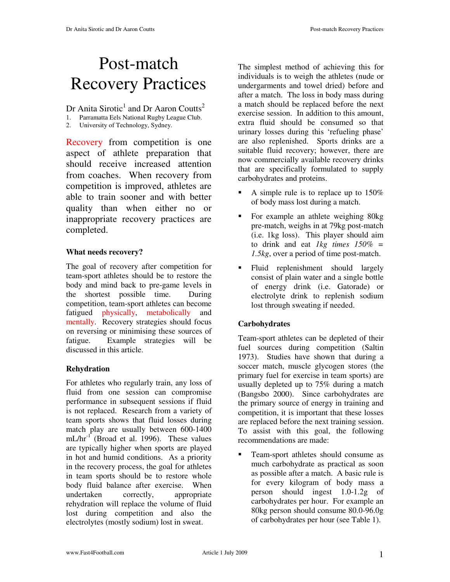# Post-match Recovery Practices

Dr Anita Sirotic<sup>1</sup> and Dr Aaron Coutts<sup>2</sup>

- 1. Parramatta Eels National Rugby League Club.
- 2. University of Technology, Sydney.

Recovery from competition is one aspect of athlete preparation that should receive increased attention from coaches. When recovery from competition is improved, athletes are able to train sooner and with better quality than when either no or inappropriate recovery practices are completed.

### **What needs recovery?**

The goal of recovery after competition for team-sport athletes should be to restore the body and mind back to pre-game levels in the shortest possible time. During competition, team-sport athletes can become fatigued physically, metabolically and mentally. Recovery strategies should focus on reversing or minimising these sources of fatigue. Example strategies will be discussed in this article.

### **Rehydration**

For athletes who regularly train, any loss of fluid from one session can compromise performance in subsequent sessions if fluid is not replaced. Research from a variety of team sports shows that fluid losses during match play are usually between 600-1400 mL/hr<sup>-1</sup> (Broad et al. 1996). These values are typically higher when sports are played in hot and humid conditions. As a priority in the recovery process, the goal for athletes in team sports should be to restore whole body fluid balance after exercise. When undertaken correctly, appropriate rehydration will replace the volume of fluid lost during competition and also the electrolytes (mostly sodium) lost in sweat.

The simplest method of achieving this for individuals is to weigh the athletes (nude or undergarments and towel dried) before and after a match. The loss in body mass during a match should be replaced before the next exercise session. In addition to this amount, extra fluid should be consumed so that urinary losses during this 'refueling phase' are also replenished. Sports drinks are a suitable fluid recovery; however, there are now commercially available recovery drinks that are specifically formulated to supply carbohydrates and proteins.

- A simple rule is to replace up to 150% of body mass lost during a match.
- For example an athlete weighing 80kg pre-match, weighs in at 79kg post-match (i.e. 1kg loss). This player should aim to drink and eat *1kg times 150% = 1.5kg*, over a period of time post-match.
- Fluid replenishment should largely consist of plain water and a single bottle of energy drink (i.e. Gatorade) or electrolyte drink to replenish sodium lost through sweating if needed.

### **Carbohydrates**

Team-sport athletes can be depleted of their fuel sources during competition (Saltin 1973). Studies have shown that during a soccer match, muscle glycogen stores (the primary fuel for exercise in team sports) are usually depleted up to 75% during a match (Bangsbo 2000). Since carbohydrates are the primary source of energy in training and competition, it is important that these losses are replaced before the next training session. To assist with this goal, the following recommendations are made:

 Team-sport athletes should consume as much carbohydrate as practical as soon as possible after a match. A basic rule is for every kilogram of body mass a person should ingest 1.0-1.2g of carbohydrates per hour. For example an 80kg person should consume 80.0-96.0g of carbohydrates per hour (see Table 1).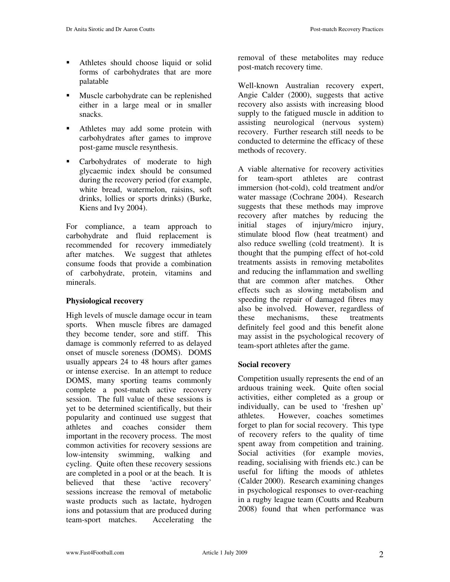- Athletes should choose liquid or solid forms of carbohydrates that are more palatable
- Muscle carbohydrate can be replenished either in a large meal or in smaller snacks.
- Athletes may add some protein with carbohydrates after games to improve post-game muscle resynthesis.
- **Carbohydrates** of moderate to high glycaemic index should be consumed during the recovery period (for example, white bread, watermelon, raisins, soft drinks, lollies or sports drinks) (Burke, Kiens and Ivy 2004).

For compliance, a team approach to carbohydrate and fluid replacement is recommended for recovery immediately after matches. We suggest that athletes consume foods that provide a combination of carbohydrate, protein, vitamins and minerals.

#### **Physiological recovery**

High levels of muscle damage occur in team sports. When muscle fibres are damaged they become tender, sore and stiff. This damage is commonly referred to as delayed onset of muscle soreness (DOMS). DOMS usually appears 24 to 48 hours after games or intense exercise. In an attempt to reduce DOMS, many sporting teams commonly complete a post-match active recovery session. The full value of these sessions is yet to be determined scientifically, but their popularity and continued use suggest that athletes and coaches consider them important in the recovery process. The most common activities for recovery sessions are low-intensity swimming, walking and cycling. Quite often these recovery sessions are completed in a pool or at the beach. It is believed that these 'active recovery' sessions increase the removal of metabolic waste products such as lactate, hydrogen ions and potassium that are produced during team-sport matches. Accelerating the removal of these metabolites may reduce post-match recovery time.

Well-known Australian recovery expert, Angie Calder (2000), suggests that active recovery also assists with increasing blood supply to the fatigued muscle in addition to assisting neurological (nervous system) recovery. Further research still needs to be conducted to determine the efficacy of these methods of recovery.

A viable alternative for recovery activities for team-sport athletes are contrast immersion (hot-cold), cold treatment and/or water massage (Cochrane 2004). Research suggests that these methods may improve recovery after matches by reducing the initial stages of injury/micro injury, stimulate blood flow (heat treatment) and also reduce swelling (cold treatment). It is thought that the pumping effect of hot-cold treatments assists in removing metabolites and reducing the inflammation and swelling that are common after matches. Other effects such as slowing metabolism and speeding the repair of damaged fibres may also be involved. However, regardless of these mechanisms, these treatments definitely feel good and this benefit alone may assist in the psychological recovery of team-sport athletes after the game.

#### **Social recovery**

Competition usually represents the end of an arduous training week. Quite often social activities, either completed as a group or individually, can be used to 'freshen up' athletes. However, coaches sometimes forget to plan for social recovery. This type of recovery refers to the quality of time spent away from competition and training. Social activities (for example movies, reading, socialising with friends etc.) can be useful for lifting the moods of athletes (Calder 2000). Research examining changes in psychological responses to over-reaching in a rugby league team (Coutts and Reaburn 2008) found that when performance was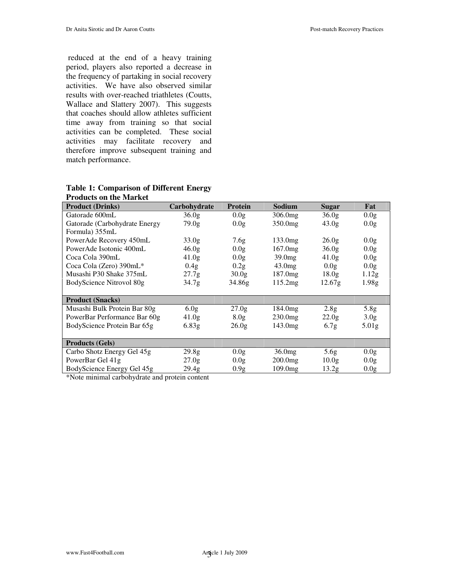reduced at the end of a heavy training period, players also reported a decrease in the frequency of partaking in social recovery activities. We have also observed similar results with over-reached triathletes (Coutts, Wallace and Slattery 2007). This suggests that coaches should allow athletes sufficient time away from training so that social activities can be completed. These social activities may facilitate recovery and therefore improve subsequent training and match performance.

| T TUUUCIS UIT LIIE MATKEL     |                   |                   |                     |                    |                   |
|-------------------------------|-------------------|-------------------|---------------------|--------------------|-------------------|
| <b>Product (Drinks)</b>       | Carbohydrate      | <b>Protein</b>    | Sodium              | Sugar              | Fat               |
| Gatorade 600mL                | 36.0 <sub>g</sub> | 0.0g              | 306.0 <sub>mg</sub> | 36.0 <sub>g</sub>  | 0.0 <sub>g</sub>  |
| Gatorade (Carbohydrate Energy | 79.0 <sub>g</sub> | 0.0g              | 350.0 <sub>mg</sub> | 43.0 <sub>g</sub>  | 0.0 <sub>g</sub>  |
| Formula) 355mL                |                   |                   |                     |                    |                   |
| PowerAde Recovery 450mL       | 33.0 <sub>g</sub> | 7.6g              | 133.0 <sub>mg</sub> | 26.0 <sub>g</sub>  | 0.0g              |
| PowerAde Isotonic 400mL       | 46.0 <sub>g</sub> | 0.0 <sub>g</sub>  | 167.0mg             | 36.0g              | 0.0 <sub>g</sub>  |
| Coca Cola 390mL               | 41.0 <sub>g</sub> | 0.0g              | 39.0 <sub>mg</sub>  | 41.0 <sub>g</sub>  | 0.0g              |
| Coca Cola (Zero) 390mL*       | 0.4g              | 0.2g              | 43.0mg              | 0.0g               | 0.0 <sub>g</sub>  |
| Musashi P30 Shake 375mL       | 27.7 <sub>g</sub> | 30.0 <sub>g</sub> | 187.0 <sub>mg</sub> | 18.0 <sub>g</sub>  | 1.12 <sub>g</sub> |
| BodyScience Nitrovol 80g      | 34.7 <sub>g</sub> | 34.86g            | 115.2mg             | 12.67 <sub>g</sub> | 1.98 <sub>g</sub> |
|                               |                   |                   |                     |                    |                   |
| <b>Product (Snacks)</b>       |                   |                   |                     |                    |                   |
| Musashi Bulk Protein Bar 80g  | 6.0 <sub>g</sub>  | 27.0 <sub>g</sub> | 184.0 <sub>mg</sub> | 2.8 <sub>g</sub>   | 5.8g              |
| PowerBar Performance Bar 60g  | 41.0 <sub>g</sub> | 8.0 <sub>g</sub>  | $230.0$ mg          | 22.0 <sub>g</sub>  | 3.0 <sub>g</sub>  |
| BodyScience Protein Bar 65g   | 6.83g             | 26.0g             | 143.0 <sub>mg</sub> | 6.7g               | 5.01 <sub>g</sub> |
|                               |                   |                   |                     |                    |                   |
| <b>Products (Gels)</b>        |                   |                   |                     |                    |                   |
| Carbo Shotz Energy Gel 45g    | 29.8 <sub>g</sub> | 0.0g              | 36.0mg              | 5.6 <sub>g</sub>   | 0.0 <sub>g</sub>  |
| PowerBar Gel 41g              | 27.0 <sub>g</sub> | 0.0g              | $200.0$ mg          | 10.0 <sub>g</sub>  | 0.0g              |
| BodyScience Energy Gel 45g    | 29.4 <sub>g</sub> | 0.9g              | $109.0$ mg          | 13.2g              | 0.0g              |

#### **Table 1: Comparison of Different Energy Products on the Market**

\*Note minimal carbohydrate and protein content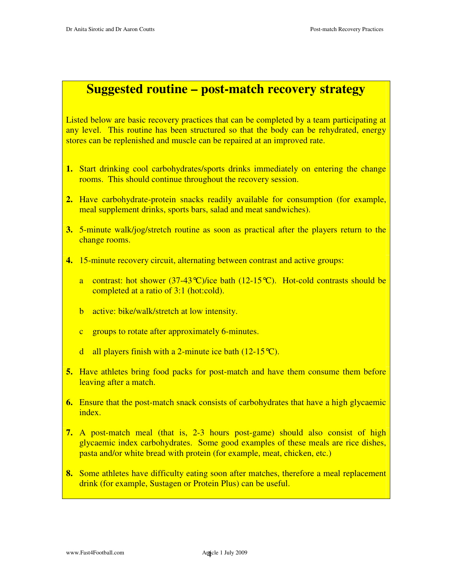## **Suggested routine – post-match recovery strategy**

Listed below are basic recovery practices that can be completed by a team participating at any level. This routine has been structured so that the body can be rehydrated, energy stores can be replenished and muscle can be repaired at an improved rate.

- **1.** Start drinking cool carbohydrates/sports drinks immediately on entering the change rooms. This should continue throughout the recovery session.
- **2.** Have carbohydrate-protein snacks readily available for consumption (for example, meal supplement drinks, sports bars, salad and meat sandwiches).
- **3.** 5-minute walk/jog/stretch routine as soon as practical after the players return to the change rooms.
- **4.** 15-minute recovery circuit, alternating between contrast and active groups:
	- a contrast: hot shower  $(37-43^{\circ}C)/i$ ice bath  $(12-15^{\circ}C)$ . Hot-cold contrasts should be completed at a ratio of 3:1 (hot:cold).
	- b active: bike/walk/stretch at low intensity.
	- c groups to rotate after approximately 6-minutes.
	- d all players finish with a 2-minute ice bath  $(12-15^{\circ}C)$ .
- **5.** Have athletes bring food packs for post-match and have them consume them before leaving after a match.
- **6.** Ensure that the post-match snack consists of carbohydrates that have a high glycaemic index.
- **7.** A post-match meal (that is, 2-3 hours post-game) should also consist of high glycaemic index carbohydrates. Some good examples of these meals are rice dishes, pasta and/or white bread with protein (for example, meat, chicken, etc.)
- **8.** Some athletes have difficulty eating soon after matches, therefore a meal replacement drink (for example, Sustagen or Protein Plus) can be useful.